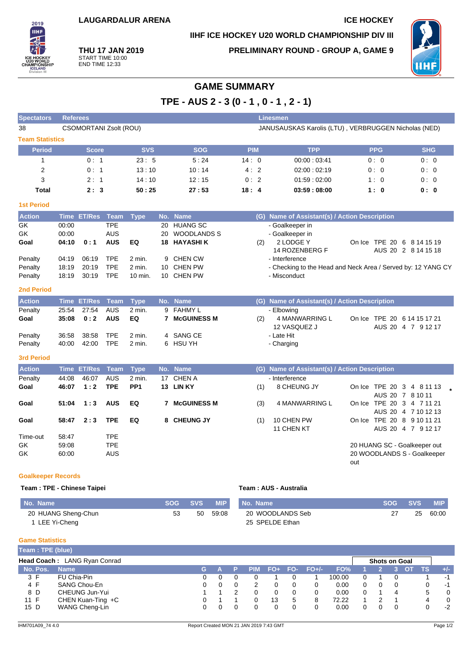## **IIHF ICE HOCKEY U20 WORLD CHAMPIONSHIP DIV III**



**THU 17 JAN 2019** START TIME 10:00 END TIME 12:33

**PRELIMINARY ROUND - GROUP A, GAME 9**



## **GAME SUMMARY**

**TPE - AUS 2 - 3 (0 - 1 , 0 - 1 , 2 - 1)**

| <b>Spectators</b>         | <b>Referees</b><br><b>Linesmen</b> |                        |                           |                 |     |                       |      |            |                                                              |     |                  |                              |  |
|---------------------------|------------------------------------|------------------------|---------------------------|-----------------|-----|-----------------------|------|------------|--------------------------------------------------------------|-----|------------------|------------------------------|--|
| 38                        |                                    | CSOMORTANI Zsolt (ROU) |                           |                 |     |                       |      |            | JANUSAUSKAS Karolis (LTU), VERBRUGGEN Nicholas (NED)         |     |                  |                              |  |
| <b>Team Statistics</b>    |                                    |                        |                           |                 |     |                       |      |            |                                                              |     |                  |                              |  |
| <b>Period</b>             |                                    | <b>Score</b>           |                           | <b>SVS</b>      |     | <b>SOG</b>            |      | <b>PIM</b> | <b>TPP</b>                                                   |     | <b>PPG</b>       | <b>SHG</b>                   |  |
| $\mathbf{1}$              |                                    | 0:1                    |                           | 23:5            |     | 5:24                  | 14:0 |            | 00:00:03:41                                                  |     | 0:0              | 0:0                          |  |
| $\overline{2}$            |                                    | 0:1                    |                           | 13:10           |     | 10:14                 |      | 4:2        | 02:00:02:19                                                  |     | 0:0              | 0:0                          |  |
| 3                         |                                    | 2:1                    |                           | 14:10           |     | 12:15                 |      | 0:2        | 01:59:02:00                                                  |     | 1:0              | 0:0                          |  |
| <b>Total</b>              |                                    | 2:3                    |                           | 50:25           |     | 27:53                 | 18:4 |            | 03:59:08:00                                                  |     | 1:0              | 0:0                          |  |
| <b>1st Period</b>         |                                    |                        |                           |                 |     |                       |      |            |                                                              |     |                  |                              |  |
| <b>Action</b>             | <b>Time</b>                        | <b>ET/Res</b>          | Team                      | <b>Type</b>     | No. | <b>Name</b>           |      |            | (G) Name of Assistant(s) / Action Description                |     |                  |                              |  |
| GK                        | 00:00                              |                        | <b>TPE</b>                |                 | 20  | <b>HUANG SC</b>       |      |            | - Goalkeeper in                                              |     |                  |                              |  |
| GK                        | 00:00                              |                        | AUS                       |                 | 20  | <b>WOODLANDS S</b>    |      |            | - Goalkeeper in                                              |     |                  |                              |  |
| Goal                      | 04:10                              | 0:1                    | <b>AUS</b>                | EQ              |     | <b>18 HAYASHIK</b>    |      | (2)        | 2 LODGE Y                                                    |     |                  | On Ice TPE 20 6 8 14 15 19   |  |
|                           | 04:19                              | 06:19                  | <b>TPE</b>                | 2 min.          | 9   | <b>CHEN CW</b>        |      |            | <b>14 ROZENBERG F</b><br>- Interference                      |     |                  | AUS 20 2 8 14 15 18          |  |
| Penalty<br>Penalty        | 18:19                              | 20:19                  | <b>TPE</b>                | 2 min.          | 10  | <b>CHEN PW</b>        |      |            | - Checking to the Head and Neck Area / Served by: 12 YANG CY |     |                  |                              |  |
| Penalty                   | 18:19                              | 30:19                  | <b>TPE</b>                | 10 min.         |     | 10 CHEN PW            |      |            | - Misconduct                                                 |     |                  |                              |  |
| <b>2nd Period</b>         |                                    |                        |                           |                 |     |                       |      |            |                                                              |     |                  |                              |  |
|                           |                                    |                        |                           |                 |     |                       |      |            |                                                              |     |                  |                              |  |
| <b>Action</b>             | 25:54                              | Time ET/Res<br>27:54   | <b>Team</b><br><b>AUS</b> | <b>Type</b>     |     | No. Name<br>9 FAHMY L |      |            | (G) Name of Assistant(s) / Action Description                |     |                  |                              |  |
| Penalty<br>Goal           | 35:08                              | 0:2                    | <b>AUS</b>                | 2 min.<br>EQ    |     | 7 McGUINESS M         |      | (2)        | - Elbowing<br>4 MANWARRING L                                 |     |                  | On Ice TPE 20 6 14 15 17 21  |  |
|                           |                                    |                        |                           |                 |     |                       |      |            | 12 VASQUEZ J                                                 |     |                  | AUS 20 4 7 9 12 17           |  |
| Penalty                   | 36:58                              | 38.58                  | <b>TPE</b>                | 2 min.          |     | 4 SANG CE             |      |            | - Late Hit                                                   |     |                  |                              |  |
| Penalty                   | 40:00                              | 42:00                  | <b>TPE</b>                | 2 min.          |     | 6 HSU YH              |      |            | - Charging                                                   |     |                  |                              |  |
| <b>3rd Period</b>         |                                    |                        |                           |                 |     |                       |      |            |                                                              |     |                  |                              |  |
| <b>Action</b>             |                                    | Time ET/Res            | <b>Team</b>               | <b>Type</b>     |     | No. Name              |      |            | (G) Name of Assistant(s) / Action Description                |     |                  |                              |  |
| Penalty                   | 44:08                              | 46:07                  | <b>AUS</b>                | 2 min.          |     | 17 CHEN A             |      |            | - Interference                                               |     |                  |                              |  |
| Goal                      | 46:07                              | 1:2                    | <b>TPE</b>                | PP <sub>1</sub> |     | 13 LIN KY             |      | (1)        | 8 CHEUNG JY                                                  |     |                  | On Ice TPE 20 3 4 8 11 13    |  |
|                           | 51:04                              | 1:3                    | <b>AUS</b>                | EQ              | 7   | <b>McGUINESS M</b>    |      |            | 4 MANWARRING L                                               |     | AUS 20 7 8 10 11 | On Ice TPE 20 3 4 7 11 21    |  |
| Goal                      |                                    |                        |                           |                 |     |                       |      | (3)        |                                                              |     |                  | AUS 20 4 7 10 12 13          |  |
| Goal                      | 58:47                              | 2:3                    | <b>TPE</b>                | EQ              |     | 8 CHEUNG JY           |      | (1)        | 10 CHEN PW                                                   |     |                  | On Ice TPE 20 8 9 10 11 21   |  |
|                           |                                    |                        |                           |                 |     |                       |      |            | 11 CHEN KT                                                   |     |                  | AUS 20 4 7 9 12 17           |  |
| Time-out                  | 58:47                              |                        | <b>TPE</b>                |                 |     |                       |      |            |                                                              |     |                  |                              |  |
| GK                        | 59:08                              |                        | <b>TPE</b>                |                 |     |                       |      |            |                                                              |     |                  | 20 HUANG SC - Goalkeeper out |  |
| GK                        | 60:00                              |                        | <b>AUS</b>                |                 |     |                       |      |            |                                                              |     |                  | 20 WOODLANDS S - Goalkeeper  |  |
|                           |                                    |                        |                           |                 |     |                       |      |            |                                                              | out |                  |                              |  |
| <b>Goalkeeper Records</b> |                                    |                        |                           |                 |     |                       |      |            |                                                              |     |                  |                              |  |
| Toom : TDE Chinoco Toinoi |                                    |                        |                           |                 |     |                       |      |            | Toom AIIC Augustic                                           |     |                  |                              |  |

| Team: TPE - Chinese Taipei            |            |            | Team: AUS - Australia |                                     |         |    |            |  |  |  |  |
|---------------------------------------|------------|------------|-----------------------|-------------------------------------|---------|----|------------|--|--|--|--|
| No. Name                              | <b>SOG</b> | <b>SVS</b> | <b>MIP</b>            | No. Name                            | SOG SVS |    | <b>MIP</b> |  |  |  |  |
| 20 HUANG Sheng-Chun<br>1 LEE Yi-Cheng | 53         | 50         | 59:08                 | 20 WOODLANDS Seb<br>25 SPELDE Ethan |         | 25 | 60:00      |  |  |  |  |

## **Game Statistics**

| Team: TPE (blue) |                              |  |  |  |            |       |     |         |        |   |                      |   |     |          |
|------------------|------------------------------|--|--|--|------------|-------|-----|---------|--------|---|----------------------|---|-----|----------|
|                  | Head Coach: LANG Ryan Conrad |  |  |  |            |       |     |         |        |   | <b>Shots on Goal</b> |   |     |          |
| No. Pos.         | <b>Name</b>                  |  |  |  | <b>PIM</b> | $FO+$ | FO- | $FO+/-$ | FO%    |   |                      |   | TS. | $+/-$    |
| 3 F              | FU Chia-Pin                  |  |  |  |            |       |     |         | 100.00 |   |                      |   |     | -1       |
| 4 F              | SANG Chou-En                 |  |  |  |            |       |     |         | 0.00   | 0 |                      |   |     | -1       |
| 8 D              | CHEUNG Jun-Yui               |  |  |  |            |       |     |         | 0.00   |   |                      | 4 | 5   | $\Omega$ |
| 11 F             | CHEN Kuan-Ting +C            |  |  |  |            | 13    | 5   |         | 72.22  |   |                      |   | 4   | 0        |
| 15 D             | WANG Cheng-Lin               |  |  |  |            |       |     |         | 0.00   |   |                      |   |     | $-2$     |